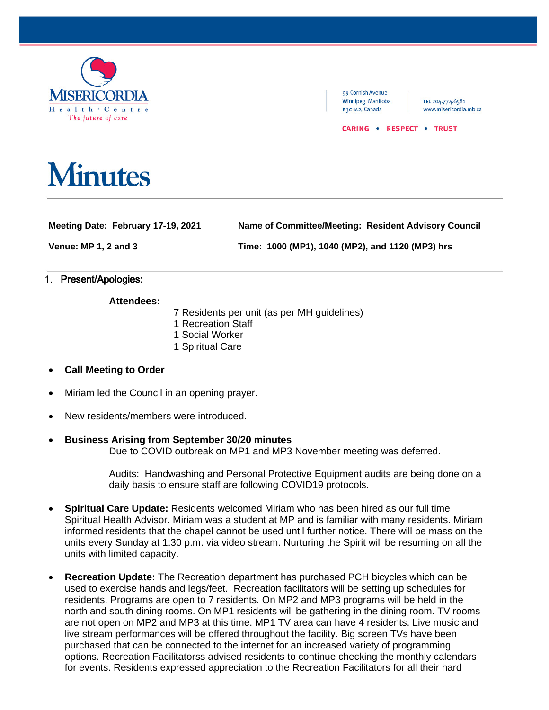

#### 99 Cornish Avenue Winnipeg, Manitoba R3C 1A2, Canada

TEL 204.774.6581 www.misericordia.mb.ca

#### CARING . RESPECT . TRUST

# **Minutes**

**Meeting Date: February 17-19, 2021 Name of Committee/Meeting: Resident Advisory Council**

**Venue: MP 1, 2 and 3 Time: 1000 (MP1), 1040 (MP2), and 1120 (MP3) hrs**

## 1. Present/Apologies:

## **Attendees:**

- 7 Residents per unit (as per MH guidelines)
- 1 Recreation Staff
- 1 Social Worker
- 1 Spiritual Care
- **Call Meeting to Order**
- Miriam led the Council in an opening prayer.
- New residents/members were introduced.

# • **Business Arising from September 30/20 minutes**

Due to COVID outbreak on MP1 and MP3 November meeting was deferred.

Audits: Handwashing and Personal Protective Equipment audits are being done on a daily basis to ensure staff are following COVID19 protocols.

- **Spiritual Care Update:** Residents welcomed Miriam who has been hired as our full time Spiritual Health Advisor. Miriam was a student at MP and is familiar with many residents. Miriam informed residents that the chapel cannot be used until further notice. There will be mass on the units every Sunday at 1:30 p.m. via video stream. Nurturing the Spirit will be resuming on all the units with limited capacity.
- **Recreation Update:** The Recreation department has purchased PCH bicycles which can be used to exercise hands and legs/feet. Recreation facilitators will be setting up schedules for residents. Programs are open to 7 residents. On MP2 and MP3 programs will be held in the north and south dining rooms. On MP1 residents will be gathering in the dining room. TV rooms are not open on MP2 and MP3 at this time. MP1 TV area can have 4 residents. Live music and live stream performances will be offered throughout the facility. Big screen TVs have been purchased that can be connected to the internet for an increased variety of programming options. Recreation Facilitatorss advised residents to continue checking the monthly calendars for events. Residents expressed appreciation to the Recreation Facilitators for all their hard